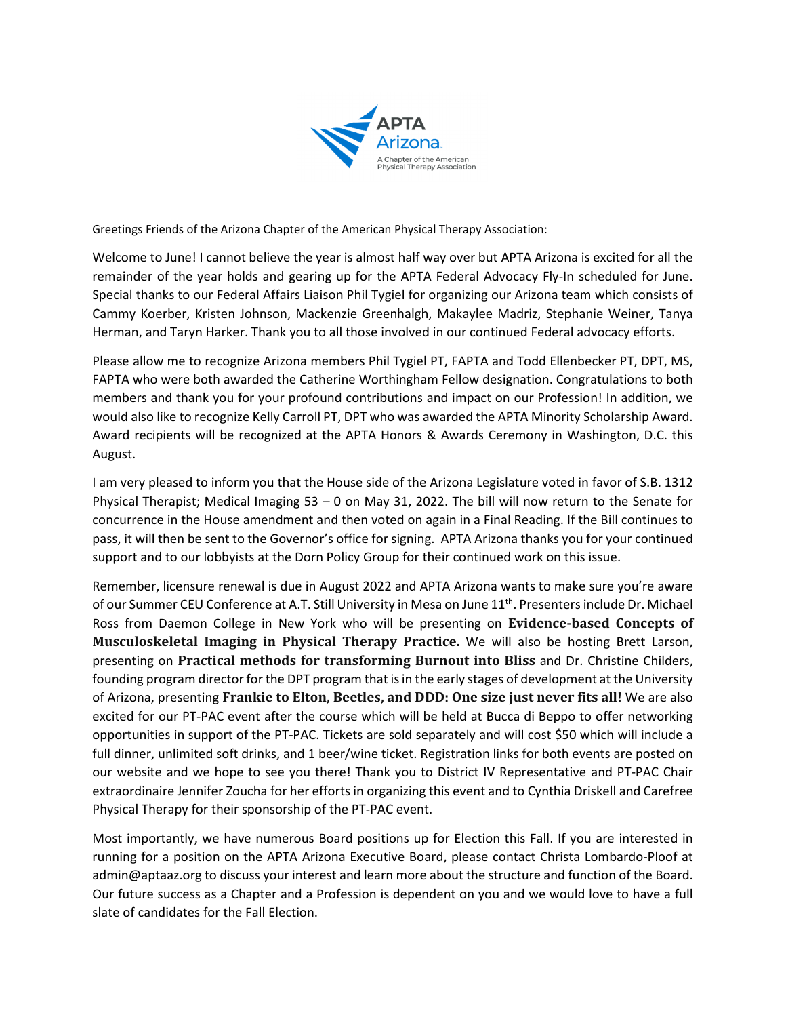

Greetings Friends of the Arizona Chapter of the American Physical Therapy Association:

Welcome to June! I cannot believe the year is almost half way over but APTA Arizona is excited for all the remainder of the year holds and gearing up for the APTA Federal Advocacy Fly-In scheduled for June. Special thanks to our Federal Affairs Liaison Phil Tygiel for organizing our Arizona team which consists of Cammy Koerber, Kristen Johnson, Mackenzie Greenhalgh, Makaylee Madriz, Stephanie Weiner, Tanya Herman, and Taryn Harker. Thank you to all those involved in our continued Federal advocacy efforts.

Please allow me to recognize Arizona members Phil Tygiel PT, FAPTA and Todd Ellenbecker PT, DPT, MS, FAPTA who were both awarded the Catherine Worthingham Fellow designation. Congratulations to both members and thank you for your profound contributions and impact on our Profession! In addition, we would also like to recognize Kelly Carroll PT, DPT who was awarded the APTA Minority Scholarship Award. Award recipients will be recognized at the APTA Honors & Awards Ceremony in Washington, D.C. this August.

I am very pleased to inform you that the House side of the Arizona Legislature voted in favor of S.B. 1312 Physical Therapist; Medical Imaging 53 – 0 on May 31, 2022. The bill will now return to the Senate for concurrence in the House amendment and then voted on again in a Final Reading. If the Bill continues to pass, it will then be sent to the Governor's office for signing. APTA Arizona thanks you for your continued support and to our lobbyists at the Dorn Policy Group for their continued work on this issue.

Remember, licensure renewal is due in August 2022 and APTA Arizona wants to make sure you're aware of our Summer CEU Conference at A.T. Still University in Mesa on June 11<sup>th</sup>. Presenters include Dr. Michael Ross from Daemon College in New York who will be presenting on **Evidence-based Concepts of Musculoskeletal Imaging in Physical Therapy Practice.** We will also be hosting Brett Larson, presenting on **Practical methods for transforming Burnout into Bliss** and Dr. Christine Childers, founding program director for the DPT program that is in the early stages of development at the University of Arizona, presenting **Frankie to Elton, Beetles, and DDD: One size just never fits all!** We are also excited for our PT-PAC event after the course which will be held at Bucca di Beppo to offer networking opportunities in support of the PT-PAC. Tickets are sold separately and will cost \$50 which will include a full dinner, unlimited soft drinks, and 1 beer/wine ticket. Registration links for both events are posted on our website and we hope to see you there! Thank you to District IV Representative and PT-PAC Chair extraordinaire Jennifer Zoucha for her efforts in organizing this event and to Cynthia Driskell and Carefree Physical Therapy for their sponsorship of the PT-PAC event.

Most importantly, we have numerous Board positions up for Election this Fall. If you are interested in running for a position on the APTA Arizona Executive Board, please contact Christa Lombardo-Ploof at admin@aptaaz.org to discuss your interest and learn more about the structure and function of the Board. Our future success as a Chapter and a Profession is dependent on you and we would love to have a full slate of candidates for the Fall Election.